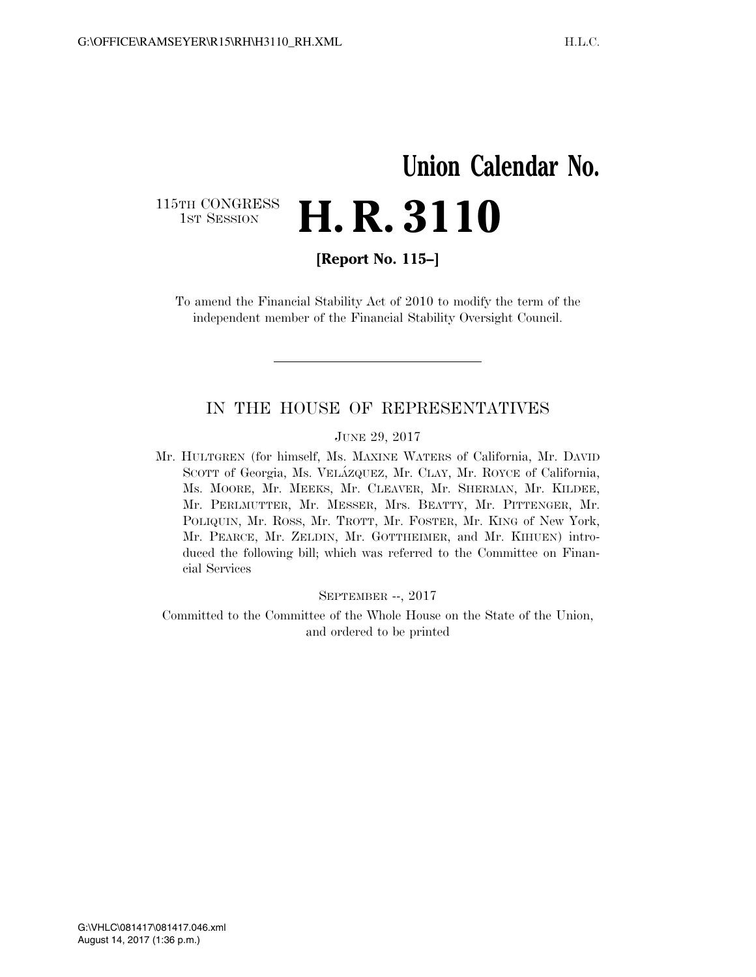# **Union Calendar No.**  115TH CONGRESS<br>1st Session **H. R. 3110**

**[Report No. 115–]** 

To amend the Financial Stability Act of 2010 to modify the term of the independent member of the Financial Stability Oversight Council.

### IN THE HOUSE OF REPRESENTATIVES

#### JUNE 29, 2017

Mr. HULTGREN (for himself, Ms. MAXINE WATERS of California, Mr. DAVID SCOTT of Georgia, Ms. VELÁZQUEZ, Mr. CLAY, Mr. ROYCE of California, Ms. MOORE, Mr. MEEKS, Mr. CLEAVER, Mr. SHERMAN, Mr. KILDEE, Mr. PERLMUTTER, Mr. MESSER, Mrs. BEATTY, Mr. PITTENGER, Mr. POLIQUIN, Mr. ROSS, Mr. TROTT, Mr. FOSTER, Mr. KING of New York, Mr. PEARCE, Mr. ZELDIN, Mr. GOTTHEIMER, and Mr. KIHUEN) introduced the following bill; which was referred to the Committee on Financial Services

SEPTEMBER --, 2017

Committed to the Committee of the Whole House on the State of the Union, and ordered to be printed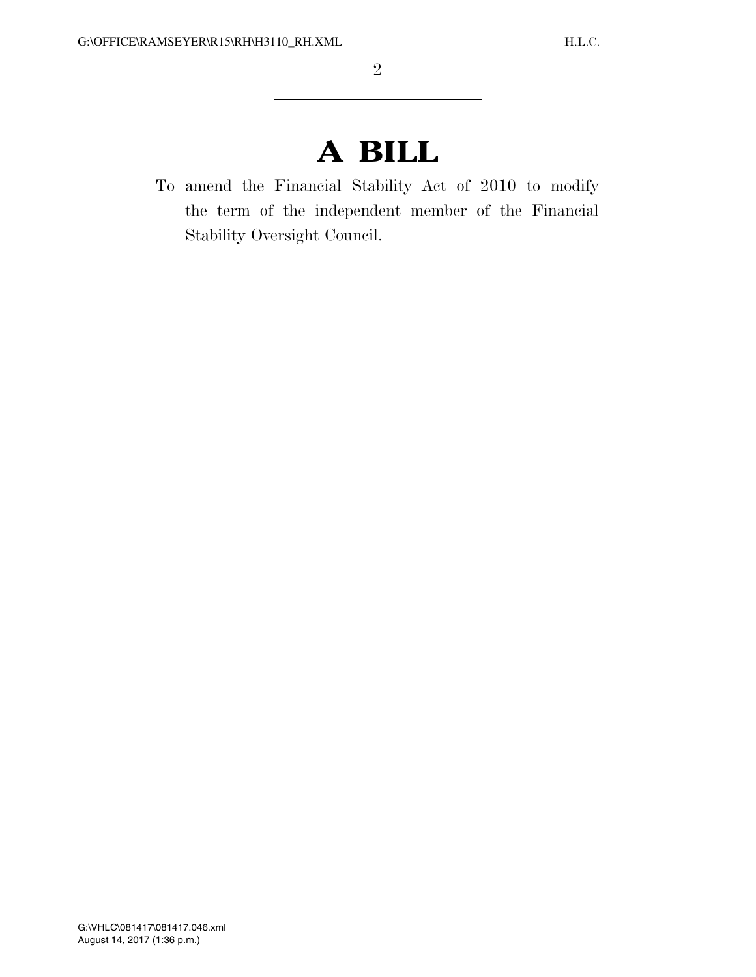# **A BILL**

To amend the Financial Stability Act of 2010 to modify the term of the independent member of the Financial Stability Oversight Council.